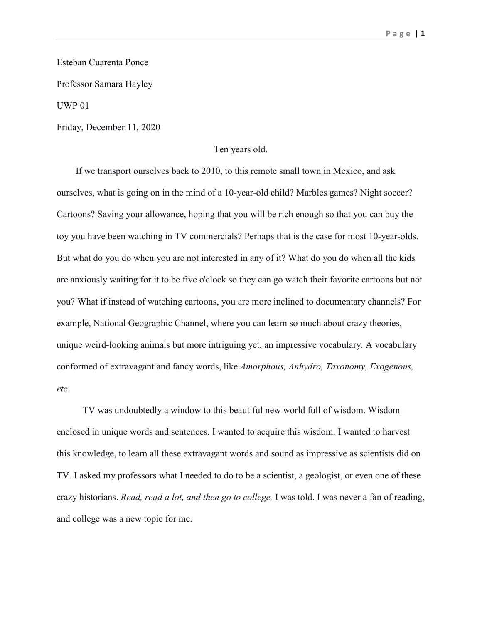Esteban Cuarenta Ponce

Professor Samara Hayley

UWP 01

Friday, December 11, 2020

## Ten years old.

 If we transport ourselves back to 2010, to this remote small town in Mexico, and ask ourselves, what is going on in the mind of a 10-year-old child? Marbles games? Night soccer? Cartoons? Saving your allowance, hoping that you will be rich enough so that you can buy the toy you have been watching in TV commercials? Perhaps that is the case for most 10-year-olds. But what do you do when you are not interested in any of it? What do you do when all the kids are anxiously waiting for it to be five o'clock so they can go watch their favorite cartoons but not you? What if instead of watching cartoons, you are more inclined to documentary channels? For example, National Geographic Channel, where you can learn so much about crazy theories, unique weird-looking animals but more intriguing yet, an impressive vocabulary. A vocabulary conformed of extravagant and fancy words, like *Amorphous, Anhydro, Taxonomy, Exogenous, etc.*

TV was undoubtedly a window to this beautiful new world full of wisdom. Wisdom enclosed in unique words and sentences. I wanted to acquire this wisdom. I wanted to harvest this knowledge, to learn all these extravagant words and sound as impressive as scientists did on TV. I asked my professors what I needed to do to be a scientist, a geologist, or even one of these crazy historians. *Read, read a lot, and then go to college,* I was told. I was never a fan of reading, and college was a new topic for me.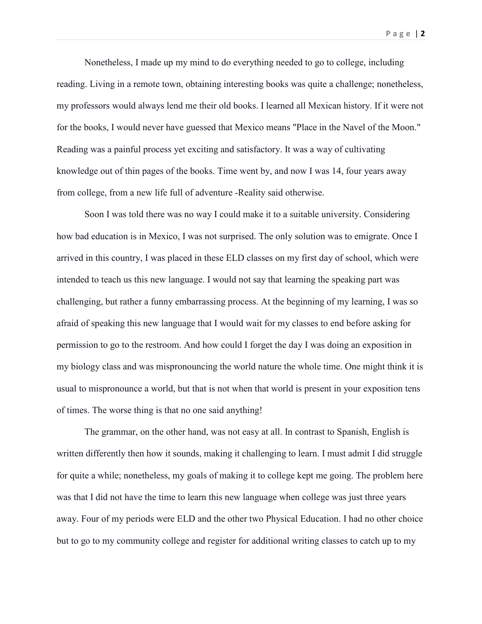Nonetheless, I made up my mind to do everything needed to go to college, including reading. Living in a remote town, obtaining interesting books was quite a challenge; nonetheless, my professors would always lend me their old books. I learned all Mexican history. If it were not for the books, I would never have guessed that Mexico means "Place in the Navel of the Moon." Reading was a painful process yet exciting and satisfactory. It was a way of cultivating knowledge out of thin pages of the books. Time went by, and now I was 14, four years away from college, from a new life full of adventure -Reality said otherwise.

Soon I was told there was no way I could make it to a suitable university. Considering how bad education is in Mexico, I was not surprised. The only solution was to emigrate. Once I arrived in this country, I was placed in these ELD classes on my first day of school, which were intended to teach us this new language. I would not say that learning the speaking part was challenging, but rather a funny embarrassing process. At the beginning of my learning, I was so afraid of speaking this new language that I would wait for my classes to end before asking for permission to go to the restroom. And how could I forget the day I was doing an exposition in my biology class and was mispronouncing the world nature the whole time. One might think it is usual to mispronounce a world, but that is not when that world is present in your exposition tens of times. The worse thing is that no one said anything!

The grammar, on the other hand, was not easy at all. In contrast to Spanish, English is written differently then how it sounds, making it challenging to learn. I must admit I did struggle for quite a while; nonetheless, my goals of making it to college kept me going. The problem here was that I did not have the time to learn this new language when college was just three years away. Four of my periods were ELD and the other two Physical Education. I had no other choice but to go to my community college and register for additional writing classes to catch up to my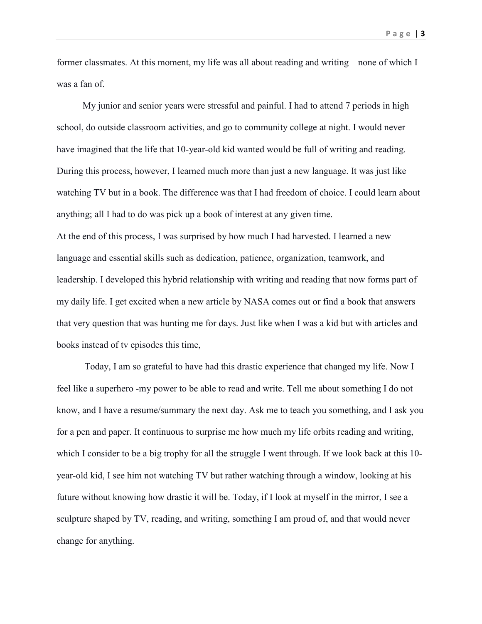**Page** | **3**

former classmates. At this moment, my life was all about reading and writing—none of which I was a fan of.

My junior and senior years were stressful and painful. I had to attend 7 periods in high school, do outside classroom activities, and go to community college at night. I would never have imagined that the life that 10-year-old kid wanted would be full of writing and reading. During this process, however, I learned much more than just a new language. It was just like watching TV but in a book. The difference was that I had freedom of choice. I could learn about anything; all I had to do was pick up a book of interest at any given time. At the end of this process, I was surprised by how much I had harvested. I learned a new language and essential skills such as dedication, patience, organization, teamwork, and leadership. I developed this hybrid relationship with writing and reading that now forms part of my daily life. I get excited when a new article by NASA comes out or find a book that answers that very question that was hunting me for days. Just like when I was a kid but with articles and books instead of tv episodes this time,

Today, I am so grateful to have had this drastic experience that changed my life. Now I feel like a superhero -my power to be able to read and write. Tell me about something I do not know, and I have a resume/summary the next day. Ask me to teach you something, and I ask you for a pen and paper. It continuous to surprise me how much my life orbits reading and writing, which I consider to be a big trophy for all the struggle I went through. If we look back at this 10year-old kid, I see him not watching TV but rather watching through a window, looking at his future without knowing how drastic it will be. Today, if I look at myself in the mirror, I see a sculpture shaped by TV, reading, and writing, something I am proud of, and that would never change for anything.